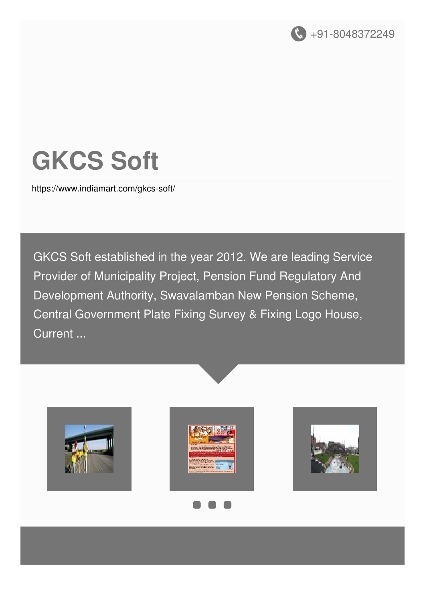

# **GKCS Soft**

<https://www.indiamart.com/gkcs-soft/>

GKCS Soft established in the year 2012. We are leading Service Provider of Municipality Project, Pension Fund Regulatory And Development Authority, Swavalamban New Pension Scheme, Central Government Plate Fixing Survey & Fixing Logo House, Current ...





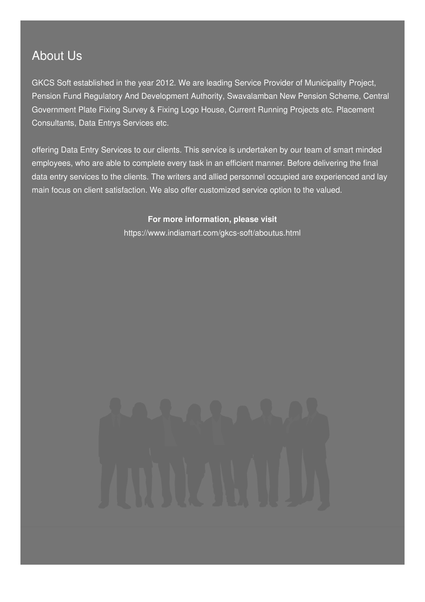### About Us

GKCS Soft established in the year 2012. We are leading Service Provider of Municipality Project, Pension Fund Regulatory And Development Authority, Swavalamban New Pension Scheme, Central Government Plate Fixing Survey & Fixing Logo House, Current Running Projects etc. Placement Consultants, Data Entrys Services etc.

offering Data Entry Services to our clients. This service is undertaken by our team of smart minded employees, who are able to complete every task in an efficient manner. Before delivering the final data entry services to the clients. The writers and allied personnel occupied are experienced and lay main focus on client satisfaction. We also offer customized service option to the valued.

> **For more information, please visit** <https://www.indiamart.com/gkcs-soft/aboutus.html>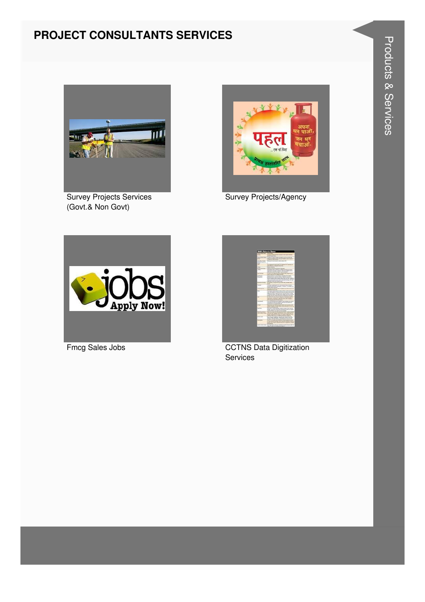#### **PROJECT CONSULTANTS SERVICES**



Survey Projects Services (Govt.& Non Govt)



Survey Projects/Agency





Fmcg Sales Jobs **CCTNS** Data Digitization Services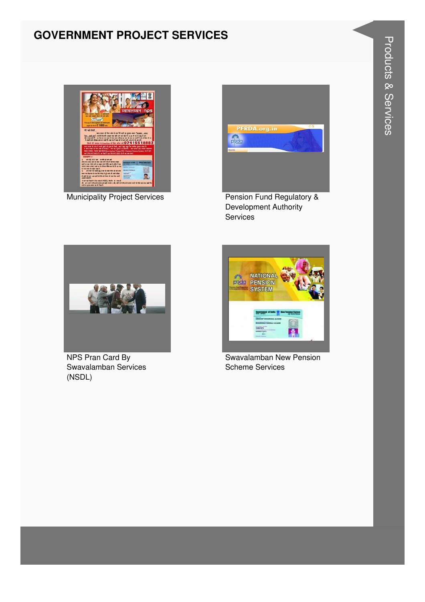#### **GOVERNMENT PROJECT SERVICES**



**Municipality Project Services** 



Pension Fund Regulatory & Development Authority Services



NPS Pran Card By Swavalamban Services (NSDL)



Swavalamban New Pension **Scheme Services**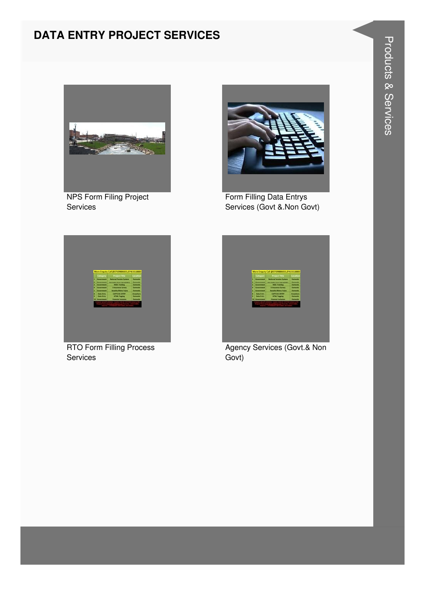#### **DATA ENTRY PROJECT SERVICES**



NPS Form Filing Project Services



Form Filling Data Entrys Services (Govt &.Non Govt)



RTO Form Filling Process Services



Agency Services (Govt.& Non Govt)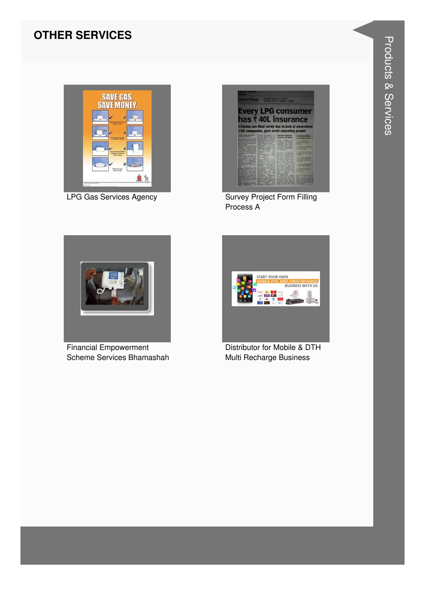#### **OTHER SERVICES**



LPG Gas Services Agency **Survey Project Form Filling** 



Process A



Financial Empowerment Scheme Services Bhamashah



Distributor for Mobile & DTH Multi Recharge Business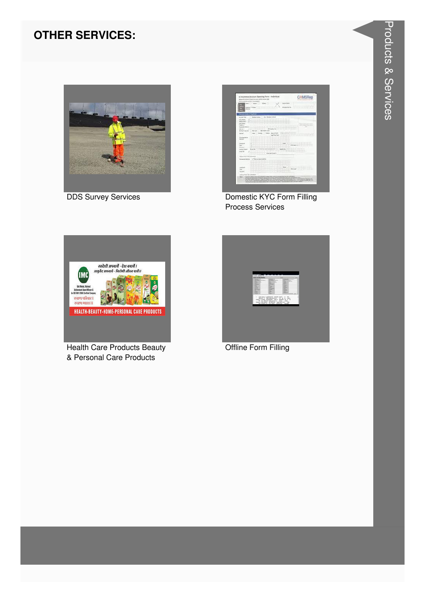#### **OTHER SERVICES:**



**DDS Survey Services** 



Domestic KYC Form Filling **Process Services** 



**Health Care Products Beauty** & Personal Care Products

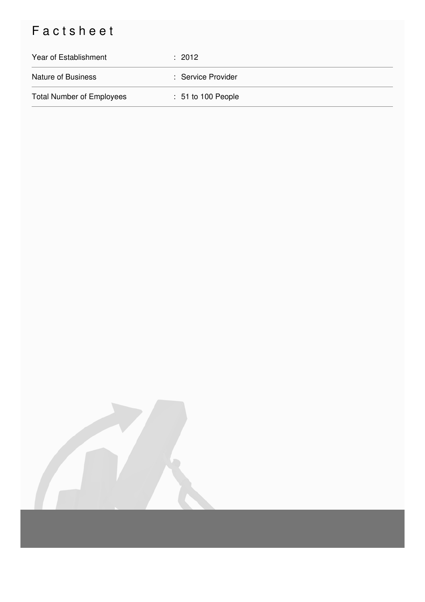## Factsheet

| Year of Establishment            | $\div$ 2012                   |
|----------------------------------|-------------------------------|
| <b>Nature of Business</b>        | : Service Provider            |
| <b>Total Number of Employees</b> | $\therefore$ 51 to 100 People |